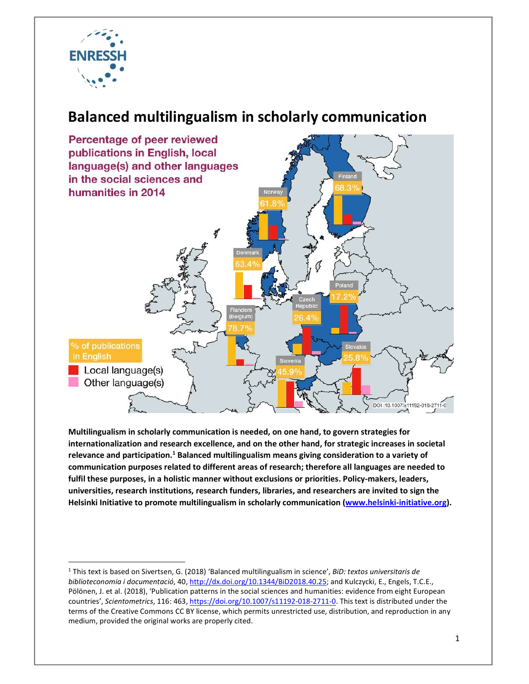

## Balanced multilingualism in scholarly communication



Multilingualism in scholarly communication is needed, on one hand, to govern strategies for internationalization and research excellence, and on the other hand, for strategic increases in societal relevance and participation.<sup>1</sup> Balanced multilingualism means giving consideration to a variety of communication purposes related to different areas of research; therefore all languages are needed to fulfil these purposes, in a holistic manner without exclusions or priorities. Policy-makers, leaders, universities, research institutions, research funders, libraries, and researchers are invited to sign the Helsinki Initiative to promote multilingualism in scholarly communication (www.helsinki-initiative.org).

 <sup>1</sup> This text is based on Sivertsen, G. (2018) 'Balanced multilingualism in science', BiD: textos universitaris de biblioteconomia i documentació, 40, http://dx.doi.org/10.1344/BiD2018.40.25; and Kulczycki, E., Engels, T.C.E., Pölönen, J. et al. (2018), 'Publication patterns in the social sciences and humanities: evidence from eight European countries', Scientometrics, 116: 463, https://doi.org/10.1007/s11192-018-2711-0. This text is distributed under the terms of the Creative Commons CC BY license, which permits unrestricted use, distribution, and reproduction in any medium, provided the original works are properly cited.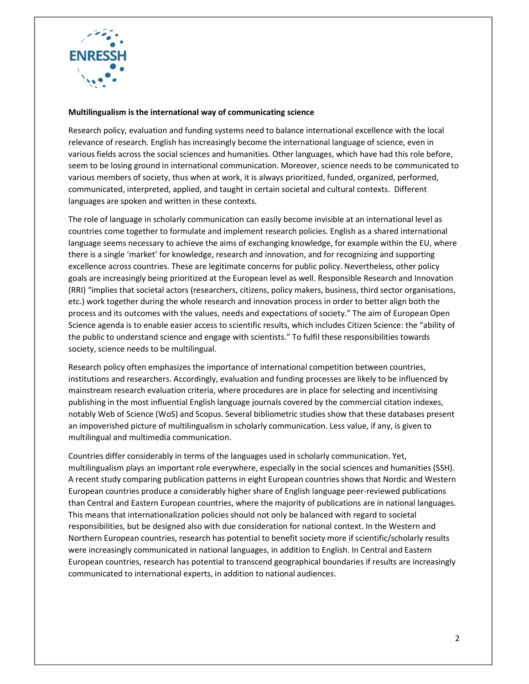

## Multilingualism is the international way of communicating science

Research policy, evaluation and funding systems need to balance international excellence with the local relevance of research. English has increasingly become the international language of science, even in various fields across the social sciences and humanities. Other languages, which have had this role before, seem to be losing ground in international communication. Moreover, science needs to be communicated to various members of society, thus when at work, it is always prioritized, funded, organized, performed, communicated, interpreted, applied, and taught in certain societal and cultural contexts. Different languages are spoken and written in these contexts.

The role of language in scholarly communication can easily become invisible at an international level as countries come together to formulate and implement research policies. English as a shared international language seems necessary to achieve the aims of exchanging knowledge, for example within the EU, where there is a single 'market' for knowledge, research and innovation, and for recognizing and supporting excellence across countries. These are legitimate concerns for public policy. Nevertheless, other policy goals are increasingly being prioritized at the European level as well. Responsible Research and Innovation (RRI) "implies that societal actors (researchers, citizens, policy makers, business, third sector organisations, etc.) work together during the whole research and innovation process in order to better align both the process and its outcomes with the values, needs and expectations of society." The aim of European Open Science agenda is to enable easier access to scientific results, which includes Citizen Science: the "ability of the public to understand science and engage with scientists." To fulfil these responsibilities towards society, science needs to be multilingual.

Research policy often emphasizes the importance of international competition between countries, institutions and researchers. Accordingly, evaluation and funding processes are likely to be influenced by mainstream research evaluation criteria, where procedures are in place for selecting and incentivising publishing in the most influential English language journals covered by the commercial citation indexes, notably Web of Science (WoS) and Scopus. Several bibliometric studies show that these databases present an impoverished picture of multilingualism in scholarly communication. Less value, if any, is given to multilingual and multimedia communication.

Countries differ considerably in terms of the languages used in scholarly communication. Yet, multilingualism plays an important role everywhere, especially in the social sciences and humanities (SSH). A recent study comparing publication patterns in eight European countries shows that Nordic and Western European countries produce a considerably higher share of English language peer-reviewed publications than Central and Eastern European countries, where the majority of publications are in national languages. This means that internationalization policies should not only be balanced with regard to societal responsibilities, but be designed also with due consideration for national context. In the Western and Northern European countries, research has potential to benefit society more if scientific/scholarly results were increasingly communicated in national languages, in addition to English. In Central and Eastern European countries, research has potential to transcend geographical boundaries if results are increasingly communicated to international experts, in addition to national audiences.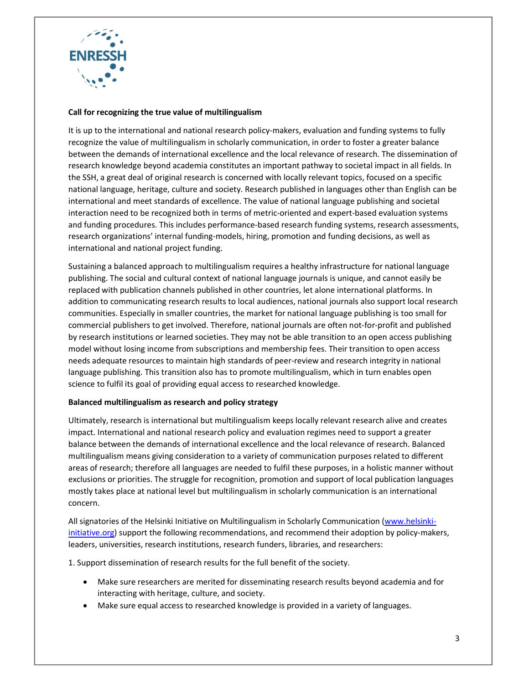

## Call for recognizing the true value of multilingualism

It is up to the international and national research policy-makers, evaluation and funding systems to fully recognize the value of multilingualism in scholarly communication, in order to foster a greater balance between the demands of international excellence and the local relevance of research. The dissemination of research knowledge beyond academia constitutes an important pathway to societal impact in all fields. In the SSH, a great deal of original research is concerned with locally relevant topics, focused on a specific national language, heritage, culture and society. Research published in languages other than English can be international and meet standards of excellence. The value of national language publishing and societal interaction need to be recognized both in terms of metric-oriented and expert-based evaluation systems and funding procedures. This includes performance-based research funding systems, research assessments, research organizations' internal funding-models, hiring, promotion and funding decisions, as well as international and national project funding.

Sustaining a balanced approach to multilingualism requires a healthy infrastructure for national language publishing. The social and cultural context of national language journals is unique, and cannot easily be replaced with publication channels published in other countries, let alone international platforms. In addition to communicating research results to local audiences, national journals also support local research communities. Especially in smaller countries, the market for national language publishing is too small for commercial publishers to get involved. Therefore, national journals are often not-for-profit and published by research institutions or learned societies. They may not be able transition to an open access publishing model without losing income from subscriptions and membership fees. Their transition to open access needs adequate resources to maintain high standards of peer-review and research integrity in national language publishing. This transition also has to promote multilingualism, which in turn enables open science to fulfil its goal of providing equal access to researched knowledge.

## Balanced multilingualism as research and policy strategy

Ultimately, research is international but multilingualism keeps locally relevant research alive and creates impact. International and national research policy and evaluation regimes need to support a greater balance between the demands of international excellence and the local relevance of research. Balanced multilingualism means giving consideration to a variety of communication purposes related to different areas of research; therefore all languages are needed to fulfil these purposes, in a holistic manner without exclusions or priorities. The struggle for recognition, promotion and support of local publication languages mostly takes place at national level but multilingualism in scholarly communication is an international concern.

All signatories of the Helsinki Initiative on Multilingualism in Scholarly Communication (www.helsinkiinitiative.org) support the following recommendations, and recommend their adoption by policy-makers, leaders, universities, research institutions, research funders, libraries, and researchers:

1. Support dissemination of research results for the full benefit of the society.

- Make sure researchers are merited for disseminating research results beyond academia and for interacting with heritage, culture, and society.
- Make sure equal access to researched knowledge is provided in a variety of languages.